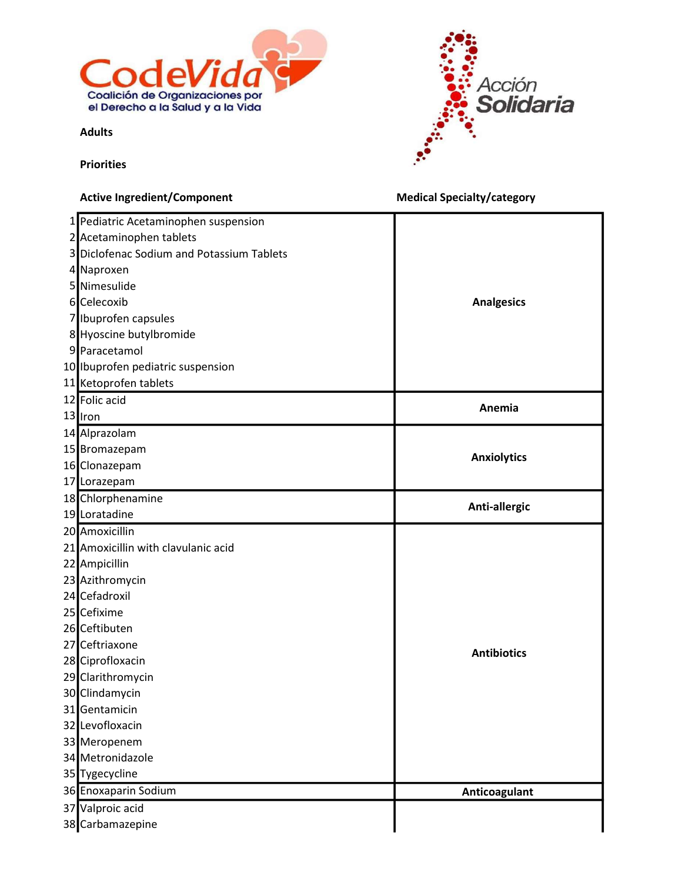

Acción Solidaria

Adults

**Priorities** 

## Active Ingredient/Component **Medical Specialty/category Medical Specialty/category**  Pediatric Acetaminophen suspension Acetaminophen tablets Diclofenac Sodium and Potassium Tablets Naproxen Nimesulide Celecoxib Ibuprofen capsules Hyoscine butylbromide Paracetamol Ibuprofen pediatric suspension Ketoprofen tablets Folic acid Iron Alprazolam Bromazepam Clonazepam Lorazepam Chlorphenamine Loratadine Amoxicillin Amoxicillin with clavulanic acid Ampicillin Azithromycin Cefadroxil Cefixime Ceftibuten Ceftriaxone Ciprofloxacin Clarithromycin Clindamycin Gentamicin Levofloxacin Meropenem Metronidazole Tygecycline 36 Enoxaparin Sodium **Anticoagulant Anticoagulant**  Valproic acid Carbamazepine Analgesics Anemia Anxiolytics Anti-allergic Antibiotics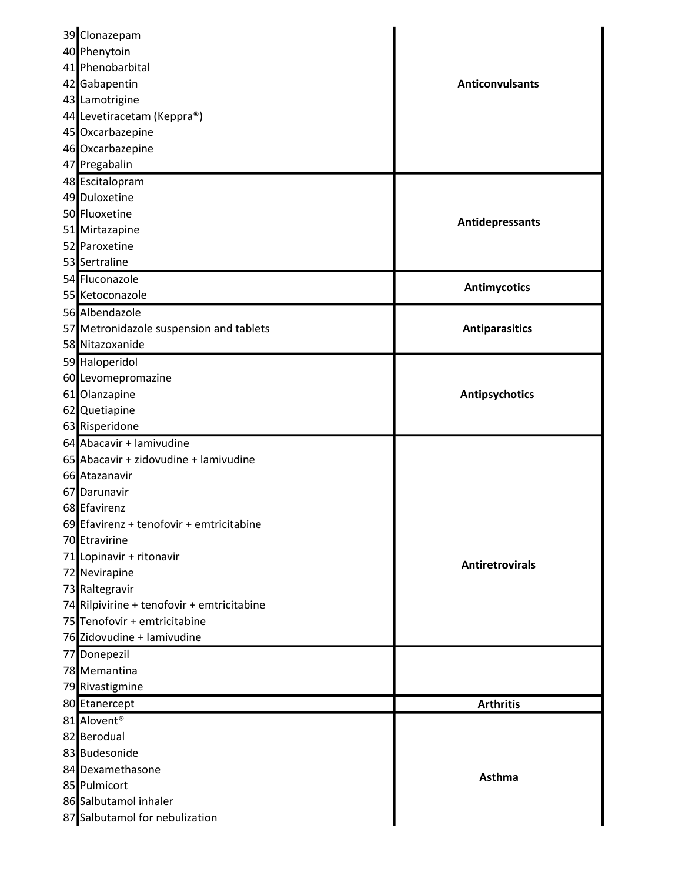| 39 Clonazepam                              |                        |
|--------------------------------------------|------------------------|
| 40 Phenytoin                               |                        |
| 41 Phenobarbital                           |                        |
| 42 Gabapentin                              | <b>Anticonvulsants</b> |
| 43 Lamotrigine                             |                        |
| 44 Levetiracetam (Keppra®)                 |                        |
| 45 Oxcarbazepine                           |                        |
| 46 Oxcarbazepine                           |                        |
| 47 Pregabalin                              |                        |
| 48 Escitalopram                            |                        |
| 49 Duloxetine                              |                        |
| 50 Fluoxetine                              | Antidepressants        |
| 51 Mirtazapine                             |                        |
| 52 Paroxetine                              |                        |
| 53 Sertraline                              |                        |
| 54 Fluconazole                             | <b>Antimycotics</b>    |
| 55 Ketoconazole                            |                        |
| 56 Albendazole                             |                        |
| 57 Metronidazole suspension and tablets    | <b>Antiparasitics</b>  |
| 58 Nitazoxanide                            |                        |
| 59 Haloperidol                             |                        |
| 60 Levomepromazine                         |                        |
| 61 Olanzapine                              | Antipsychotics         |
| 62 Quetiapine                              |                        |
| 63 Risperidone                             |                        |
| 64 Abacavir + lamivudine                   |                        |
| 65 Abacavir + zidovudine + lamivudine      |                        |
| 66 Atazanavir                              |                        |
| 67 Darunavir                               |                        |
| 68 Efavirenz                               |                        |
| 69 Efavirenz + tenofovir + emtricitabine   |                        |
| 70 Etravirine                              |                        |
| 71 Lopinavir + ritonavir                   | <b>Antiretrovirals</b> |
| 72 Nevirapine                              |                        |
| 73 Raltegravir                             |                        |
| 74 Rilpivirine + tenofovir + emtricitabine |                        |
| 75 Tenofovir + emtricitabine               |                        |
| 76 Zidovudine + lamivudine                 |                        |
| 77 Donepezil                               |                        |
| 78 Memantina                               |                        |
| 79 Rivastigmine                            |                        |
| 80 Etanercept                              | <b>Arthritis</b>       |
| 81 Alovent <sup>®</sup>                    |                        |
| 82 Berodual                                |                        |
| 83 Budesonide                              |                        |
| 84 Dexamethasone                           | Asthma                 |
| 85 Pulmicort                               |                        |
| 86 Salbutamol inhaler                      |                        |
| 87 Salbutamol for nebulization             |                        |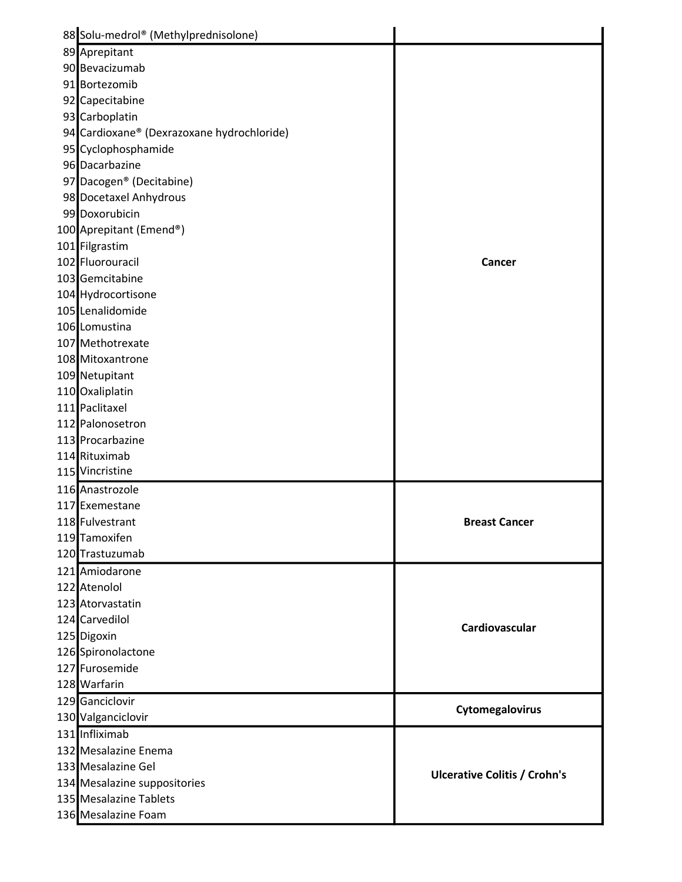| 88 Solu-medrol® (Methylprednisolone)       |                                     |
|--------------------------------------------|-------------------------------------|
| 89 Aprepitant                              |                                     |
| 90 Bevacizumab                             |                                     |
| 91 Bortezomib                              |                                     |
| 92 Capecitabine                            |                                     |
| 93 Carboplatin                             |                                     |
| 94 Cardioxane® (Dexrazoxane hydrochloride) |                                     |
| 95 Cyclophosphamide                        |                                     |
| 96 Dacarbazine                             |                                     |
| 97 Dacogen <sup>®</sup> (Decitabine)       |                                     |
| 98 Docetaxel Anhydrous                     |                                     |
| 99 Doxorubicin                             |                                     |
| 100 Aprepitant (Emend®)                    |                                     |
| 101 Filgrastim                             |                                     |
| 102 Fluorouracil                           | Cancer                              |
| 103 Gemcitabine                            |                                     |
| 104 Hydrocortisone                         |                                     |
| 105 Lenalidomide                           |                                     |
| 106 Lomustina                              |                                     |
| 107 Methotrexate                           |                                     |
| 108 Mitoxantrone                           |                                     |
| 109 Netupitant                             |                                     |
| 110 Oxaliplatin                            |                                     |
| 111 Paclitaxel                             |                                     |
| 112 Palonosetron                           |                                     |
| 113 Procarbazine                           |                                     |
| 114 Rituximab                              |                                     |
| 115 Vincristine                            |                                     |
| 116 Anastrozole                            |                                     |
| 117 Exemestane                             |                                     |
| 118 Fulvestrant                            | <b>Breast Cancer</b>                |
| 119 Tamoxifen                              |                                     |
| 120 Trastuzumab                            |                                     |
| 121 Amiodarone                             |                                     |
| 122 Atenolol                               |                                     |
| 123 Atorvastatin                           |                                     |
| 124 Carvedilol                             |                                     |
| 125 Digoxin                                | Cardiovascular                      |
| 126 Spironolactone                         |                                     |
| 127 Furosemide                             |                                     |
| 128 Warfarin                               |                                     |
| 129 Ganciclovir                            |                                     |
| 130 Valganciclovir                         | Cytomegalovirus                     |
| 131 Infliximab                             |                                     |
| 132 Mesalazine Enema                       |                                     |
| 133 Mesalazine Gel                         |                                     |
| 134 Mesalazine suppositories               | <b>Ulcerative Colitis / Crohn's</b> |
| 135 Mesalazine Tablets                     |                                     |
| 136 Mesalazine Foam                        |                                     |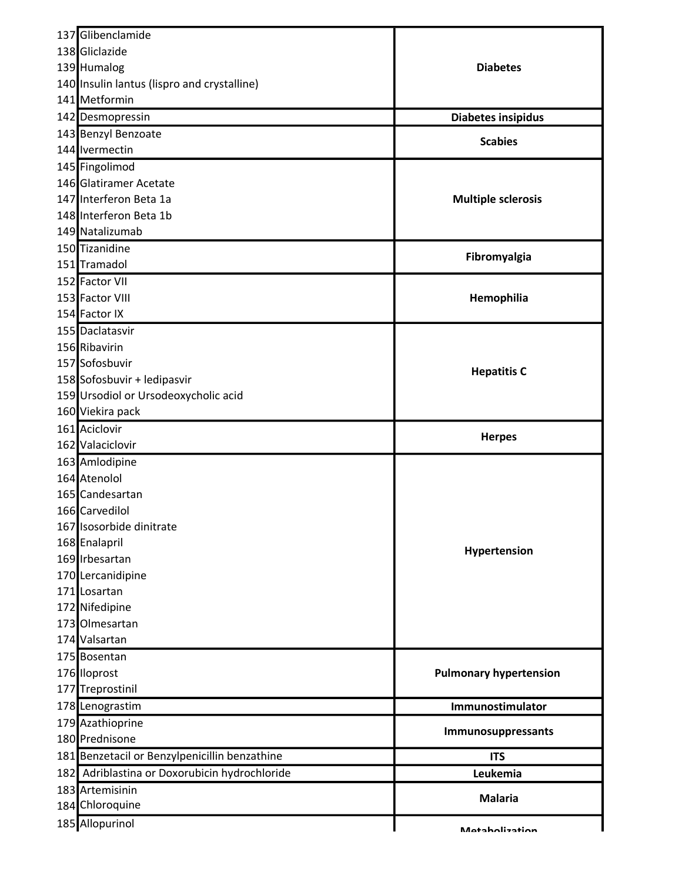| 137 Glibenclamide                             |                               |
|-----------------------------------------------|-------------------------------|
| 138 Gliclazide                                |                               |
| 139 Humalog                                   | <b>Diabetes</b>               |
| 140 Insulin lantus (lispro and crystalline)   |                               |
| 141 Metformin                                 |                               |
| 142 Desmopressin                              | Diabetes insipidus            |
| 143 Benzyl Benzoate                           |                               |
| 144 Ivermectin                                | <b>Scabies</b>                |
| 145 Fingolimod                                |                               |
| 146 Glatiramer Acetate                        |                               |
| 147 Interferon Beta 1a                        | <b>Multiple sclerosis</b>     |
| 148 Interferon Beta 1b                        |                               |
| 149 Natalizumab                               |                               |
| 150 Tizanidine                                |                               |
| 151 Tramadol                                  | Fibromyalgia                  |
| 152 Factor VII                                |                               |
| 153 Factor VIII                               | Hemophilia                    |
| 154 Factor IX                                 |                               |
| 155 Daclatasvir                               |                               |
| 156 Ribavirin                                 |                               |
| 157 Sofosbuvir                                |                               |
| 158 Sofosbuvir + ledipasvir                   | <b>Hepatitis C</b>            |
| 159 Ursodiol or Ursodeoxycholic acid          |                               |
| 160 Viekira pack                              |                               |
| 161 Aciclovir                                 |                               |
| 162 Valaciclovir                              | <b>Herpes</b>                 |
| 163 Amlodipine                                |                               |
| 164 Atenolol                                  |                               |
| 165 Candesartan                               |                               |
| 166 Carvedilol                                |                               |
| 167 Isosorbide dinitrate                      |                               |
| 168 Enalapril                                 |                               |
| 169 Irbesartan                                | Hypertension                  |
| 170 Lercanidipine                             |                               |
| 171 Losartan                                  |                               |
| 172 Nifedipine                                |                               |
| 173 Olmesartan                                |                               |
| 174 Valsartan                                 |                               |
| 175 Bosentan                                  |                               |
| 176 Iloprost                                  | <b>Pulmonary hypertension</b> |
| 177 Treprostinil                              |                               |
| 178 Lenograstim                               | Immunostimulator              |
| 179 Azathioprine                              |                               |
| 180 Prednisone                                | Immunosuppressants            |
| 181 Benzetacil or Benzylpenicillin benzathine | <b>ITS</b>                    |
| 182 Adriblastina or Doxorubicin hydrochloride | Leukemia                      |
| 183 Artemisinin                               |                               |
| 184 Chloroquine                               | <b>Malaria</b>                |
| 185 Allopurinol                               |                               |
|                                               | <b>Mataholization</b>         |